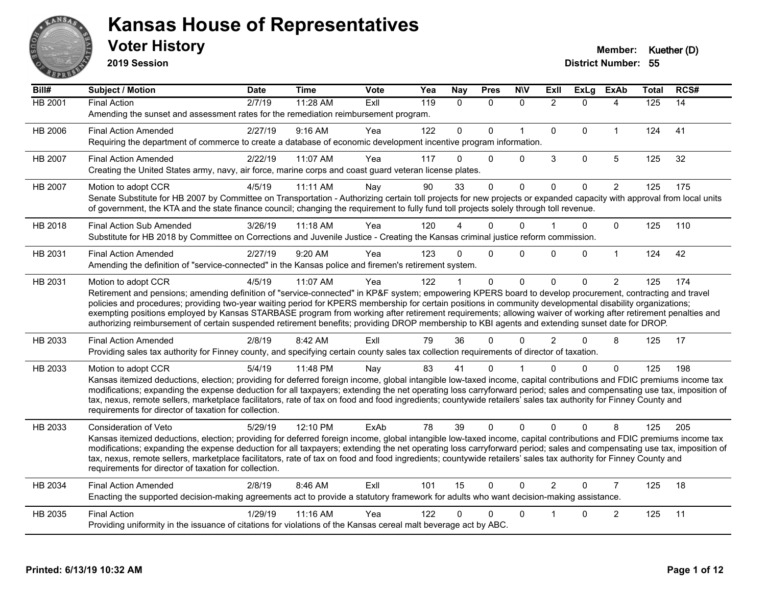

**2019 Session**

| Bill#          | Subject / Motion                                                                                                                                                                                                                                                                                                                             | <b>Date</b> | <b>Time</b> | Vote | Yea | <b>Nay</b>   | <b>Pres</b>  | <b>NIV</b>   | ExII           | <b>ExLg</b> | <b>ExAb</b>    | Total | RCS# |
|----------------|----------------------------------------------------------------------------------------------------------------------------------------------------------------------------------------------------------------------------------------------------------------------------------------------------------------------------------------------|-------------|-------------|------|-----|--------------|--------------|--------------|----------------|-------------|----------------|-------|------|
| <b>HB 2001</b> | <b>Final Action</b>                                                                                                                                                                                                                                                                                                                          | 2/7/19      | 11:28 AM    | ExIl | 119 | $\Omega$     | $\mathbf{0}$ | $\Omega$     | 2              | $\Omega$    | 4              | 125   | 14   |
|                | Amending the sunset and assessment rates for the remediation reimbursement program.                                                                                                                                                                                                                                                          |             |             |      |     |              |              |              |                |             |                |       |      |
| HB 2006        | <b>Final Action Amended</b>                                                                                                                                                                                                                                                                                                                  | 2/27/19     | 9:16 AM     | Yea  | 122 | $\mathbf{0}$ | $\Omega$     | $\mathbf{1}$ | $\Omega$       | $\Omega$    | $\mathbf{1}$   | 124   | 41   |
|                | Requiring the department of commerce to create a database of economic development incentive program information.                                                                                                                                                                                                                             |             |             |      |     |              |              |              |                |             |                |       |      |
| HB 2007        | <b>Final Action Amended</b>                                                                                                                                                                                                                                                                                                                  | 2/22/19     | 11:07 AM    | Yea  | 117 | 0            | $\mathbf{0}$ | $\Omega$     | 3              | $\mathbf 0$ | 5              | 125   | 32   |
|                | Creating the United States army, navy, air force, marine corps and coast guard veteran license plates.                                                                                                                                                                                                                                       |             |             |      |     |              |              |              |                |             |                |       |      |
| HB 2007        | Motion to adopt CCR                                                                                                                                                                                                                                                                                                                          | 4/5/19      | 11:11 AM    | Nay  | 90  | 33           | $\Omega$     | $\mathbf 0$  | $\Omega$       | $\Omega$    | $\overline{2}$ | 125   | 175  |
|                | Senate Substitute for HB 2007 by Committee on Transportation - Authorizing certain toll projects for new projects or expanded capacity with approval from local units<br>of government, the KTA and the state finance council; changing the requirement to fully fund toll projects solely through toll revenue.                             |             |             |      |     |              |              |              |                |             |                |       |      |
| HB 2018        | <b>Final Action Sub Amended</b>                                                                                                                                                                                                                                                                                                              | 3/26/19     | 11:18 AM    | Yea  | 120 |              | 0            | $\Omega$     |                | $\Omega$    | 0              | 125   | 110  |
|                | Substitute for HB 2018 by Committee on Corrections and Juvenile Justice - Creating the Kansas criminal justice reform commission.                                                                                                                                                                                                            |             |             |      |     |              |              |              |                |             |                |       |      |
|                |                                                                                                                                                                                                                                                                                                                                              |             |             |      |     |              |              |              |                |             |                |       |      |
| HB 2031        | <b>Final Action Amended</b><br>Amending the definition of "service-connected" in the Kansas police and firemen's retirement system.                                                                                                                                                                                                          | 2/27/19     | 9:20 AM     | Yea  | 123 | 0            | $\mathbf{0}$ | 0            | $\Omega$       | $\Omega$    | $\mathbf{1}$   | 124   | 42   |
|                |                                                                                                                                                                                                                                                                                                                                              |             |             |      |     |              |              |              |                |             |                |       |      |
| HB 2031        | Motion to adopt CCR                                                                                                                                                                                                                                                                                                                          | 4/5/19      | 11:07 AM    | Yea  | 122 |              | $\Omega$     | $\mathbf 0$  | $\Omega$       | $\Omega$    | $\overline{2}$ | 125   | 174  |
|                | Retirement and pensions; amending definition of "service-connected" in KP&F system; empowering KPERS board to develop procurement, contracting and travel<br>policies and procedures; providing two-year waiting period for KPERS membership for certain positions in community developmental disability organizations;                      |             |             |      |     |              |              |              |                |             |                |       |      |
|                | exempting positions employed by Kansas STARBASE program from working after retirement requirements; allowing waiver of working after retirement penalties and                                                                                                                                                                                |             |             |      |     |              |              |              |                |             |                |       |      |
|                | authorizing reimbursement of certain suspended retirement benefits; providing DROP membership to KBI agents and extending sunset date for DROP.                                                                                                                                                                                              |             |             |      |     |              |              |              |                |             |                |       |      |
| HB 2033        | <b>Final Action Amended</b>                                                                                                                                                                                                                                                                                                                  | 2/8/19      | 8:42 AM     | ExII | 79  | 36           | 0            | $\Omega$     | $\mathcal{P}$  | $\Omega$    | 8              | 125   | 17   |
|                | Providing sales tax authority for Finney county, and specifying certain county sales tax collection requirements of director of taxation.                                                                                                                                                                                                    |             |             |      |     |              |              |              |                |             |                |       |      |
| HB 2033        | Motion to adopt CCR                                                                                                                                                                                                                                                                                                                          | 5/4/19      | 11:48 PM    | Nav  | 83  | 41           | 0            |              |                | $\Omega$    | $\Omega$       | 125   | 198  |
|                | Kansas itemized deductions, election; providing for deferred foreign income, global intangible low-taxed income, capital contributions and FDIC premiums income tax                                                                                                                                                                          |             |             |      |     |              |              |              |                |             |                |       |      |
|                | modifications; expanding the expense deduction for all taxpayers; extending the net operating loss carryforward period; sales and compensating use tax, imposition of                                                                                                                                                                        |             |             |      |     |              |              |              |                |             |                |       |      |
|                | tax, nexus, remote sellers, marketplace facilitators, rate of tax on food and food ingredients; countywide retailers' sales tax authority for Finney County and<br>requirements for director of taxation for collection.                                                                                                                     |             |             |      |     |              |              |              |                |             |                |       |      |
|                |                                                                                                                                                                                                                                                                                                                                              |             |             |      |     |              |              |              |                |             |                |       |      |
| HB 2033        | Consideration of Veto                                                                                                                                                                                                                                                                                                                        | 5/29/19     | 12:10 PM    | ExAb | 78  | 39           | $\Omega$     | $\Omega$     | $\Omega$       | $\Omega$    | 8              | 125   | 205  |
|                | Kansas itemized deductions, election; providing for deferred foreign income, global intangible low-taxed income, capital contributions and FDIC premiums income tax<br>modifications; expanding the expense deduction for all taxpayers; extending the net operating loss carryforward period; sales and compensating use tax, imposition of |             |             |      |     |              |              |              |                |             |                |       |      |
|                | tax, nexus, remote sellers, marketplace facilitators, rate of tax on food and food ingredients; countywide retailers' sales tax authority for Finney County and                                                                                                                                                                              |             |             |      |     |              |              |              |                |             |                |       |      |
|                | requirements for director of taxation for collection.                                                                                                                                                                                                                                                                                        |             |             |      |     |              |              |              |                |             |                |       |      |
| HB 2034        | <b>Final Action Amended</b>                                                                                                                                                                                                                                                                                                                  | 2/8/19      | 8:46 AM     | ExIl | 101 | 15           | $\Omega$     | $\Omega$     | $\overline{2}$ | $\Omega$    | $\overline{7}$ | 125   | 18   |
|                | Enacting the supported decision-making agreements act to provide a statutory framework for adults who want decision-making assistance.                                                                                                                                                                                                       |             |             |      |     |              |              |              |                |             |                |       |      |
| HB 2035        | <b>Final Action</b>                                                                                                                                                                                                                                                                                                                          | 1/29/19     | 11:16 AM    | Yea  | 122 | 0            | 0            | $\mathbf{0}$ |                | $\Omega$    | 2              | 125   | 11   |
|                | Providing uniformity in the issuance of citations for violations of the Kansas cereal malt beverage act by ABC.                                                                                                                                                                                                                              |             |             |      |     |              |              |              |                |             |                |       |      |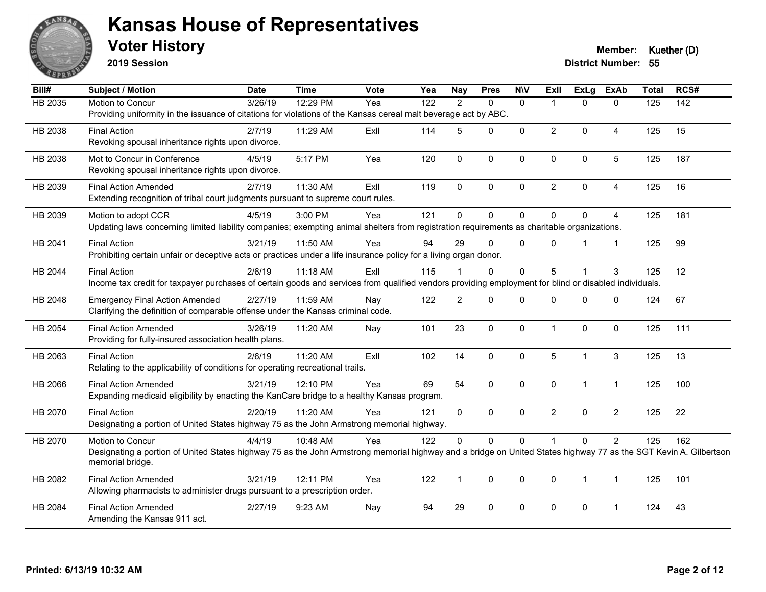

**2019 Session**

#### **Voter History Member: Kuether (D)**

| Bill#          | <b>Subject / Motion</b>                                                                                                                                          | <b>Date</b> | <b>Time</b> | <b>Vote</b> | Yea | <b>Nay</b>     | <b>Pres</b>  | <b>N\V</b>   | <b>Exll</b>    | ExLg         | <b>ExAb</b>    | <b>Total</b>   | RCS#             |
|----------------|------------------------------------------------------------------------------------------------------------------------------------------------------------------|-------------|-------------|-------------|-----|----------------|--------------|--------------|----------------|--------------|----------------|----------------|------------------|
| <b>HB 2035</b> | Motion to Concur                                                                                                                                                 | 3/26/19     | 12:29 PM    | Yea         | 122 | $\mathcal{P}$  | $\Omega$     | $\Omega$     | -1             | $\Omega$     | $\Omega$       | $\frac{1}{25}$ | $\overline{142}$ |
|                | Providing uniformity in the issuance of citations for violations of the Kansas cereal malt beverage act by ABC.                                                  |             |             |             |     |                |              |              |                |              |                |                |                  |
| HB 2038        | <b>Final Action</b>                                                                                                                                              | 2/7/19      | 11:29 AM    | ExIl        | 114 | 5              | $\mathbf{0}$ | 0            | $\overline{2}$ | 0            | 4              | 125            | 15               |
|                | Revoking spousal inheritance rights upon divorce.                                                                                                                |             |             |             |     |                |              |              |                |              |                |                |                  |
| HB 2038        | Mot to Concur in Conference                                                                                                                                      | 4/5/19      | 5:17 PM     | Yea         | 120 | $\mathbf 0$    | 0            | 0            | $\mathbf 0$    | 0            | 5              | 125            | 187              |
|                | Revoking spousal inheritance rights upon divorce.                                                                                                                |             |             |             |     |                |              |              |                |              |                |                |                  |
| HB 2039        | <b>Final Action Amended</b>                                                                                                                                      | 2/7/19      | 11:30 AM    | ExIl        | 119 | $\mathbf{0}$   | $\mathbf{0}$ | $\Omega$     | $\overline{2}$ | $\Omega$     | 4              | 125            | 16               |
|                | Extending recognition of tribal court judgments pursuant to supreme court rules.                                                                                 |             |             |             |     |                |              |              |                |              |                |                |                  |
|                |                                                                                                                                                                  |             |             |             |     |                |              |              |                |              |                |                |                  |
| HB 2039        | Motion to adopt CCR                                                                                                                                              | 4/5/19      | 3:00 PM     | Yea         | 121 | $\Omega$       | $\Omega$     | $\Omega$     | $\Omega$       | $\Omega$     | $\overline{4}$ | 125            | 181              |
|                | Updating laws concerning limited liability companies; exempting animal shelters from registration requirements as charitable organizations.                      |             |             |             |     |                |              |              |                |              |                |                |                  |
| HB 2041        | <b>Final Action</b>                                                                                                                                              | 3/21/19     | 11:50 AM    | Yea         | 94  | 29             | $\mathbf{0}$ | $\Omega$     | $\Omega$       |              | $\mathbf{1}$   | 125            | 99               |
|                | Prohibiting certain unfair or deceptive acts or practices under a life insurance policy for a living organ donor.                                                |             |             |             |     |                |              |              |                |              |                |                |                  |
| HB 2044        | <b>Final Action</b>                                                                                                                                              | 2/6/19      | 11:18 AM    | ExIl        | 115 |                | $\Omega$     | $\Omega$     | 5              |              | 3              | 125            | 12               |
|                | Income tax credit for taxpayer purchases of certain goods and services from qualified vendors providing employment for blind or disabled individuals.            |             |             |             |     |                |              |              |                |              |                |                |                  |
| HB 2048        | <b>Emergency Final Action Amended</b>                                                                                                                            | 2/27/19     | 11:59 AM    | Nay         | 122 | $\overline{c}$ | $\mathbf{0}$ | 0            | 0              | $\mathbf{0}$ | 0              | 124            | 67               |
|                | Clarifying the definition of comparable offense under the Kansas criminal code.                                                                                  |             |             |             |     |                |              |              |                |              |                |                |                  |
| HB 2054        | <b>Final Action Amended</b>                                                                                                                                      | 3/26/19     | 11:20 AM    | Nay         | 101 | 23             | $\mathbf 0$  | $\mathbf 0$  | $\overline{1}$ | $\mathbf{0}$ | 0              | 125            | 111              |
|                | Providing for fully-insured association health plans.                                                                                                            |             |             |             |     |                |              |              |                |              |                |                |                  |
|                |                                                                                                                                                                  |             |             |             |     |                |              |              |                |              |                |                |                  |
| HB 2063        | <b>Final Action</b><br>Relating to the applicability of conditions for operating recreational trails.                                                            | 2/6/19      | 11:20 AM    | ExIl        | 102 | 14             | $\mathbf{0}$ | $\mathbf 0$  | 5              | 1            | 3              | 125            | 13               |
|                |                                                                                                                                                                  |             |             |             |     |                |              |              |                |              |                |                |                  |
| HB 2066        | <b>Final Action Amended</b>                                                                                                                                      | 3/21/19     | 12:10 PM    | Yea         | 69  | 54             | $\Omega$     | $\Omega$     | $\Omega$       | $\mathbf{1}$ | $\mathbf{1}$   | 125            | 100              |
|                | Expanding medicaid eligibility by enacting the KanCare bridge to a healthy Kansas program.                                                                       |             |             |             |     |                |              |              |                |              |                |                |                  |
| HB 2070        | <b>Final Action</b>                                                                                                                                              | 2/20/19     | 11:20 AM    | Yea         | 121 | $\mathbf{0}$   | $\Omega$     | $\mathbf{0}$ | $\overline{2}$ | $\Omega$     | $\overline{2}$ | 125            | 22               |
|                | Designating a portion of United States highway 75 as the John Armstrong memorial highway.                                                                        |             |             |             |     |                |              |              |                |              |                |                |                  |
| HB 2070        | Motion to Concur                                                                                                                                                 | 4/4/19      | 10:48 AM    | Yea         | 122 | $\Omega$       | 0            | $\mathbf 0$  | 1              | $\mathbf{0}$ | $\overline{2}$ | 125            | 162              |
|                | Designating a portion of United States highway 75 as the John Armstrong memorial highway and a bridge on United States highway 77 as the SGT Kevin A. Gilbertson |             |             |             |     |                |              |              |                |              |                |                |                  |
|                | memorial bridge.                                                                                                                                                 |             |             |             |     |                |              |              |                |              |                |                |                  |
| HB 2082        | <b>Final Action Amended</b>                                                                                                                                      | 3/21/19     | 12:11 PM    | Yea         | 122 | $\mathbf{1}$   | $\mathbf{0}$ | $\Omega$     | $\Omega$       | 1            | $\mathbf{1}$   | 125            | 101              |
|                | Allowing pharmacists to administer drugs pursuant to a prescription order.                                                                                       |             |             |             |     |                |              |              |                |              |                |                |                  |
| HB 2084        | <b>Final Action Amended</b>                                                                                                                                      | 2/27/19     | 9:23 AM     | Nay         | 94  | 29             | $\mathbf{0}$ | $\Omega$     | $\mathbf{0}$   | $\Omega$     | $\mathbf 1$    | 124            | 43               |
|                | Amending the Kansas 911 act.                                                                                                                                     |             |             |             |     |                |              |              |                |              |                |                |                  |
|                |                                                                                                                                                                  |             |             |             |     |                |              |              |                |              |                |                |                  |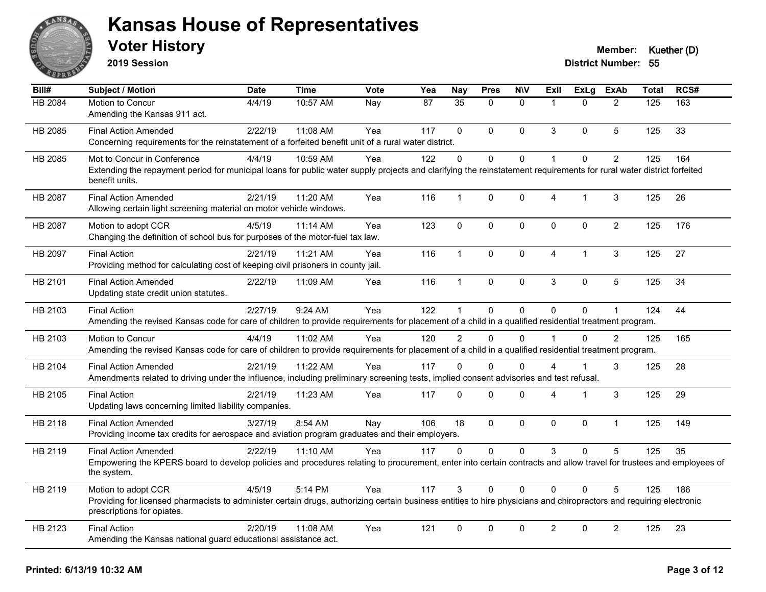

**2019 Session**

| Bill#   | Subject / Motion                                                                                                                                                                                  | <b>Date</b> | <b>Time</b> | <b>Vote</b> | Yea | <b>Nay</b>     | <b>Pres</b>    | <b>NIV</b>   | ExII           | <b>ExLg</b>  | <b>ExAb</b>    | <b>Total</b> | RCS# |
|---------|---------------------------------------------------------------------------------------------------------------------------------------------------------------------------------------------------|-------------|-------------|-------------|-----|----------------|----------------|--------------|----------------|--------------|----------------|--------------|------|
| HB 2084 | Motion to Concur                                                                                                                                                                                  | 4/4/19      | 10:57 AM    | Nay         | 87  | 35             | $\Omega$       | $\mathbf{0}$ | $\overline{1}$ | $\Omega$     | $\overline{2}$ | 125          | 163  |
|         | Amending the Kansas 911 act.                                                                                                                                                                      |             |             |             |     |                |                |              |                |              |                |              |      |
| HB 2085 | <b>Final Action Amended</b>                                                                                                                                                                       | 2/22/19     | 11:08 AM    | Yea         | 117 | $\Omega$       | $\Omega$       | $\mathbf{0}$ | 3              | $\mathbf 0$  | 5              | 125          | 33   |
|         | Concerning requirements for the reinstatement of a forfeited benefit unit of a rural water district.                                                                                              |             |             |             |     |                |                |              |                |              |                |              |      |
| HB 2085 | Mot to Concur in Conference                                                                                                                                                                       | 4/4/19      | 10:59 AM    | Yea         | 122 | 0              | $\Omega$       | $\mathbf 0$  | $\mathbf{1}$   | $\Omega$     | $\overline{2}$ | 125          | 164  |
|         | Extending the repayment period for municipal loans for public water supply projects and clarifying the reinstatement requirements for rural water district forfeited<br>benefit units.            |             |             |             |     |                |                |              |                |              |                |              |      |
| HB 2087 | <b>Final Action Amended</b>                                                                                                                                                                       | 2/21/19     | 11:20 AM    | Yea         | 116 | $\mathbf{1}$   | $\pmb{0}$      | $\pmb{0}$    | $\overline{4}$ | $\mathbf{1}$ | 3              | 125          | 26   |
|         | Allowing certain light screening material on motor vehicle windows.                                                                                                                               |             |             |             |     |                |                |              |                |              |                |              |      |
| HB 2087 | Motion to adopt CCR                                                                                                                                                                               | 4/5/19      | 11:14 AM    | Yea         | 123 | $\mathbf{0}$   | $\mathbf 0$    | $\mathbf 0$  | $\mathbf{0}$   | $\Omega$     | $\overline{2}$ | 125          | 176  |
|         | Changing the definition of school bus for purposes of the motor-fuel tax law.                                                                                                                     |             |             |             |     |                |                |              |                |              |                |              |      |
| HB 2097 | <b>Final Action</b>                                                                                                                                                                               | 2/21/19     | 11:21 AM    | Yea         | 116 | $\mathbf{1}$   | 0              | $\pmb{0}$    | $\overline{4}$ | 1            | 3              | 125          | 27   |
|         | Providing method for calculating cost of keeping civil prisoners in county jail.                                                                                                                  |             |             |             |     |                |                |              |                |              |                |              |      |
| HB 2101 | <b>Final Action Amended</b>                                                                                                                                                                       | 2/22/19     | 11:09 AM    | Yea         | 116 | $\mathbf{1}$   | $\mathbf 0$    | $\mathbf 0$  | 3              | 0            | 5              | 125          | 34   |
|         | Updating state credit union statutes.                                                                                                                                                             |             |             |             |     |                |                |              |                |              |                |              |      |
| HB 2103 | <b>Final Action</b>                                                                                                                                                                               | 2/27/19     | 9:24 AM     | Yea         | 122 | $\mathbf{1}$   | 0              | $\mathbf 0$  | $\mathbf{0}$   | 0            | $\mathbf{1}$   | 124          | 44   |
|         | Amending the revised Kansas code for care of children to provide requirements for placement of a child in a qualified residential treatment program.                                              |             |             |             |     |                |                |              |                |              |                |              |      |
| HB 2103 | Motion to Concur                                                                                                                                                                                  | 4/4/19      | 11:02 AM    | Yea         | 120 | $\overline{2}$ | $\Omega$       | $\Omega$     | $\overline{1}$ | $\Omega$     | $\overline{2}$ | 125          | 165  |
|         | Amending the revised Kansas code for care of children to provide requirements for placement of a child in a qualified residential treatment program.                                              |             |             |             |     |                |                |              |                |              |                |              |      |
| HB 2104 | <b>Final Action Amended</b>                                                                                                                                                                       | 2/21/19     | 11:22 AM    | Yea         | 117 | $\Omega$       | $\Omega$       | $\mathbf{0}$ | 4              |              | 3              | 125          | 28   |
|         | Amendments related to driving under the influence, including preliminary screening tests, implied consent advisories and test refusal.                                                            |             |             |             |     |                |                |              |                |              |                |              |      |
| HB 2105 | <b>Final Action</b>                                                                                                                                                                               | 2/21/19     | 11:23 AM    | Yea         | 117 | 0              | 0              | $\pmb{0}$    | 4              | 1            | 3              | 125          | 29   |
|         | Updating laws concerning limited liability companies.                                                                                                                                             |             |             |             |     |                |                |              |                |              |                |              |      |
| HB 2118 | <b>Final Action Amended</b>                                                                                                                                                                       | 3/27/19     | 8:54 AM     | Nay         | 106 | 18             | $\overline{0}$ | $\mathbf 0$  | $\Omega$       | $\Omega$     | $\mathbf{1}$   | 125          | 149  |
|         | Providing income tax credits for aerospace and aviation program graduates and their employers.                                                                                                    |             |             |             |     |                |                |              |                |              |                |              |      |
| HB 2119 | <b>Final Action Amended</b>                                                                                                                                                                       | 2/22/19     | 11:10 AM    | Yea         | 117 | $\mathbf{0}$   | $\Omega$       | $\mathbf 0$  | 3              | $\Omega$     | 5              | 125          | 35   |
|         | Empowering the KPERS board to develop policies and procedures relating to procurement, enter into certain contracts and allow travel for trustees and employees of<br>the system.                 |             |             |             |     |                |                |              |                |              |                |              |      |
| HB 2119 | Motion to adopt CCR                                                                                                                                                                               | 4/5/19      | 5:14 PM     | Yea         | 117 | 3              | 0              | $\mathbf{0}$ | $\Omega$       | $\Omega$     | 5              | 125          | 186  |
|         | Providing for licensed pharmacists to administer certain drugs, authorizing certain business entities to hire physicians and chiropractors and requiring electronic<br>prescriptions for opiates. |             |             |             |     |                |                |              |                |              |                |              |      |
| HB 2123 | <b>Final Action</b>                                                                                                                                                                               | 2/20/19     | 11:08 AM    | Yea         | 121 | $\mathbf 0$    | 0              | $\mathbf 0$  | $\overline{2}$ | 0            | $\overline{2}$ | 125          | 23   |
|         | Amending the Kansas national guard educational assistance act.                                                                                                                                    |             |             |             |     |                |                |              |                |              |                |              |      |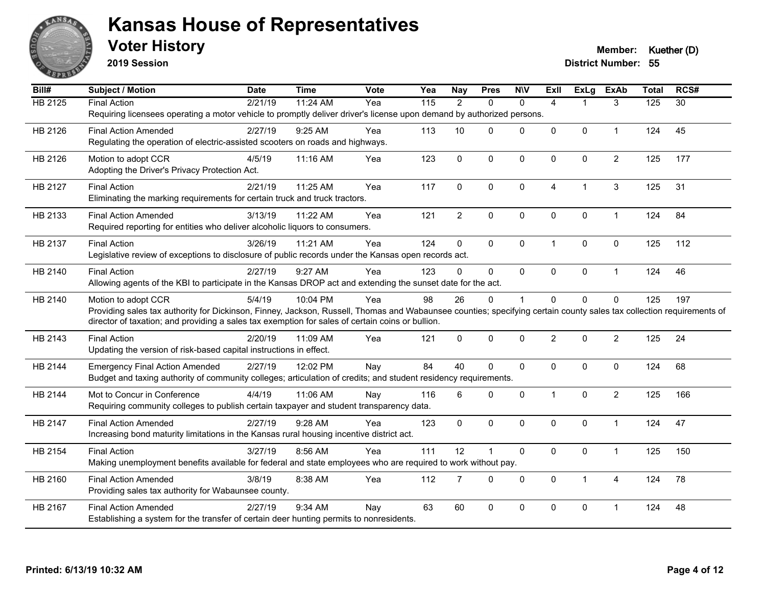

**2019 Session**

| Bill#          | <b>Subject / Motion</b>                                                                                                                                              | <b>Date</b> | <b>Time</b> | Vote | Yea               | <b>Nay</b>     | <b>Pres</b>  | <b>N\V</b>   | <b>ExII</b>    | ExLg         | <b>ExAb</b>    | <b>Total</b> | RCS#            |
|----------------|----------------------------------------------------------------------------------------------------------------------------------------------------------------------|-------------|-------------|------|-------------------|----------------|--------------|--------------|----------------|--------------|----------------|--------------|-----------------|
| <b>HB 2125</b> | <b>Final Action</b>                                                                                                                                                  | 2/21/19     | 11:24 AM    | Yea  | $\frac{115}{115}$ | 2              | $\Omega$     | $\Omega$     | $\overline{4}$ |              | 3              | 125          | $\overline{30}$ |
|                | Requiring licensees operating a motor vehicle to promptly deliver driver's license upon demand by authorized persons.                                                |             |             |      |                   |                |              |              |                |              |                |              |                 |
| HB 2126        | <b>Final Action Amended</b>                                                                                                                                          | 2/27/19     | 9:25 AM     | Yea  | 113               | 10             | 0            | $\mathbf{0}$ | $\Omega$       | $\mathbf{0}$ | 1              | 124          | 45              |
|                | Regulating the operation of electric-assisted scooters on roads and highways.                                                                                        |             |             |      |                   |                |              |              |                |              |                |              |                 |
| HB 2126        | Motion to adopt CCR                                                                                                                                                  | 4/5/19      | 11:16 AM    | Yea  | 123               | $\pmb{0}$      | 0            | $\mathbf 0$  | 0              | $\mathbf 0$  | $\overline{2}$ | 125          | 177             |
|                | Adopting the Driver's Privacy Protection Act.                                                                                                                        |             |             |      |                   |                |              |              |                |              |                |              |                 |
| HB 2127        | <b>Final Action</b>                                                                                                                                                  | 2/21/19     | 11:25 AM    | Yea  | 117               | $\Omega$       | $\mathbf 0$  | $\mathbf 0$  | $\overline{4}$ | 1            | 3              | 125          | 31              |
|                | Eliminating the marking requirements for certain truck and truck tractors.                                                                                           |             |             |      |                   |                |              |              |                |              |                |              |                 |
|                |                                                                                                                                                                      |             |             |      |                   |                |              |              |                |              |                |              |                 |
| HB 2133        | <b>Final Action Amended</b>                                                                                                                                          | 3/13/19     | 11:22 AM    | Yea  | 121               | $\overline{2}$ | $\pmb{0}$    | $\pmb{0}$    | 0              | $\pmb{0}$    | $\mathbf{1}$   | 124          | 84              |
|                | Required reporting for entities who deliver alcoholic liquors to consumers.                                                                                          |             |             |      |                   |                |              |              |                |              |                |              |                 |
| HB 2137        | <b>Final Action</b>                                                                                                                                                  | 3/26/19     | 11:21 AM    | Yea  | 124               | $\mathbf 0$    | $\mathbf{0}$ | $\mathbf 0$  | $\mathbf{1}$   | $\mathbf{0}$ | $\mathbf 0$    | 125          | 112             |
|                | Legislative review of exceptions to disclosure of public records under the Kansas open records act.                                                                  |             |             |      |                   |                |              |              |                |              |                |              |                 |
| HB 2140        | <b>Final Action</b>                                                                                                                                                  | 2/27/19     | 9:27 AM     | Yea  | 123               | $\Omega$       | $\mathbf 0$  | $\mathbf 0$  | 0              | $\mathbf 0$  | $\mathbf{1}$   | 124          | 46              |
|                | Allowing agents of the KBI to participate in the Kansas DROP act and extending the sunset date for the act.                                                          |             |             |      |                   |                |              |              |                |              |                |              |                 |
| HB 2140        | Motion to adopt CCR                                                                                                                                                  | 5/4/19      | 10:04 PM    | Yea  | 98                | 26             | $\Omega$     | 1            | $\Omega$       | $\mathbf{0}$ | 0              | 125          | 197             |
|                | Providing sales tax authority for Dickinson, Finney, Jackson, Russell, Thomas and Wabaunsee counties; specifying certain county sales tax collection requirements of |             |             |      |                   |                |              |              |                |              |                |              |                 |
|                | director of taxation; and providing a sales tax exemption for sales of certain coins or bullion.                                                                     |             |             |      |                   |                |              |              |                |              |                |              |                 |
| HB 2143        | <b>Final Action</b>                                                                                                                                                  | 2/20/19     | 11:09 AM    | Yea  | 121               | $\Omega$       | $\mathbf{0}$ | $\mathbf 0$  | $\overline{2}$ | $\Omega$     | $\overline{2}$ | 125          | 24              |
|                | Updating the version of risk-based capital instructions in effect.                                                                                                   |             |             |      |                   |                |              |              |                |              |                |              |                 |
| HB 2144        | <b>Emergency Final Action Amended</b>                                                                                                                                | 2/27/19     | 12:02 PM    | Nay  | 84                | 40             | $\Omega$     | $\mathbf 0$  | 0              | $\mathbf{0}$ | $\mathbf 0$    | 124          | 68              |
|                | Budget and taxing authority of community colleges; articulation of credits; and student residency requirements.                                                      |             |             |      |                   |                |              |              |                |              |                |              |                 |
|                |                                                                                                                                                                      |             |             |      |                   |                |              |              |                |              |                |              |                 |
| HB 2144        | Mot to Concur in Conference                                                                                                                                          | 4/4/19      | 11:06 AM    | Nay  | 116               | 6              | 0            | $\Omega$     | $\mathbf{1}$   | $\mathbf{0}$ | $\overline{2}$ | 125          | 166             |
|                | Requiring community colleges to publish certain taxpayer and student transparency data.                                                                              |             |             |      |                   |                |              |              |                |              |                |              |                 |
| HB 2147        | <b>Final Action Amended</b>                                                                                                                                          | 2/27/19     | 9:28 AM     | Yea  | 123               | $\mathbf 0$    | $\Omega$     | $\Omega$     | $\Omega$       | $\mathbf{0}$ | 1              | 124          | 47              |
|                | Increasing bond maturity limitations in the Kansas rural housing incentive district act.                                                                             |             |             |      |                   |                |              |              |                |              |                |              |                 |
| HB 2154        | <b>Final Action</b>                                                                                                                                                  | 3/27/19     | 8:56 AM     | Yea  | 111               | 12             | 1            | $\pmb{0}$    | 0              | $\mathbf 0$  | $\mathbf{1}$   | 125          | 150             |
|                | Making unemployment benefits available for federal and state employees who are required to work without pay.                                                         |             |             |      |                   |                |              |              |                |              |                |              |                 |
| HB 2160        | <b>Final Action Amended</b>                                                                                                                                          | 3/8/19      | 8:38 AM     | Yea  | 112               | $\overline{7}$ | $\Omega$     | $\Omega$     | $\Omega$       | $\mathbf{1}$ | 4              | 124          | 78              |
|                | Providing sales tax authority for Wabaunsee county.                                                                                                                  |             |             |      |                   |                |              |              |                |              |                |              |                 |
| HB 2167        | <b>Final Action Amended</b>                                                                                                                                          | 2/27/19     | 9:34 AM     | Nay  | 63                | 60             | 0            | 0            | 0              | 0            | 1              | 124          | 48              |
|                | Establishing a system for the transfer of certain deer hunting permits to nonresidents.                                                                              |             |             |      |                   |                |              |              |                |              |                |              |                 |
|                |                                                                                                                                                                      |             |             |      |                   |                |              |              |                |              |                |              |                 |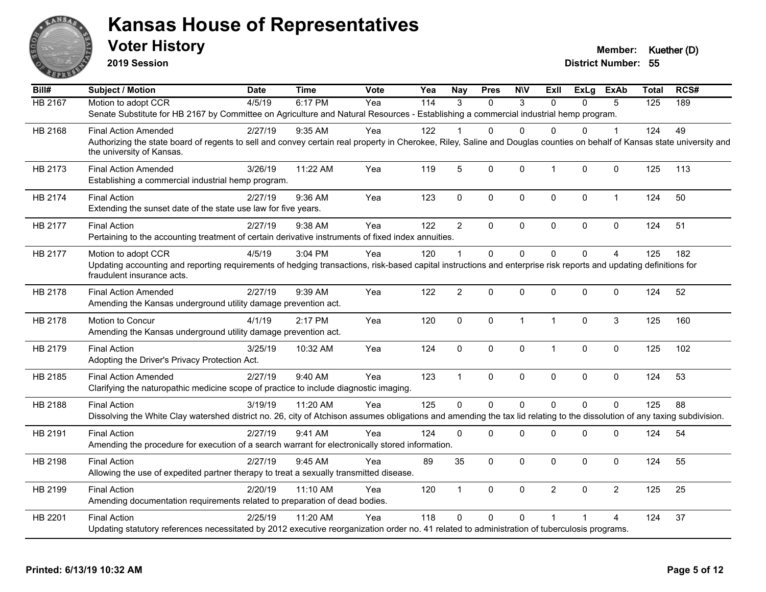

**2019 Session**

| Bill#          | <b>Subject / Motion</b>                                                                                                                                                                               | <b>Date</b> | <b>Time</b> | Vote | Yea              | <b>Nay</b>     | <b>Pres</b>  | <b>NIV</b>   | Exll           | <b>ExLg</b>  | ExAb           | <b>Total</b> | RCS# |
|----------------|-------------------------------------------------------------------------------------------------------------------------------------------------------------------------------------------------------|-------------|-------------|------|------------------|----------------|--------------|--------------|----------------|--------------|----------------|--------------|------|
| <b>HB 2167</b> | Motion to adopt CCR                                                                                                                                                                                   | 4/5/19      | 6:17 PM     | Yea  | $\overline{114}$ | 3              | $\Omega$     | 3            | $\Omega$       | $\Omega$     | 5              | 125          | 189  |
|                | Senate Substitute for HB 2167 by Committee on Agriculture and Natural Resources - Establishing a commercial industrial hemp program.                                                                  |             |             |      |                  |                |              |              |                |              |                |              |      |
| HB 2168        | <b>Final Action Amended</b>                                                                                                                                                                           | 2/27/19     | $9:35$ AM   | Yea  | 122              |                | 0            | $\Omega$     | 0              | 0            |                | 124          | 49   |
|                | Authorizing the state board of regents to sell and convey certain real property in Cherokee, Riley, Saline and Douglas counties on behalf of Kansas state university and<br>the university of Kansas. |             |             |      |                  |                |              |              |                |              |                |              |      |
| HB 2173        | <b>Final Action Amended</b><br>Establishing a commercial industrial hemp program.                                                                                                                     | 3/26/19     | 11:22 AM    | Yea  | 119              | 5              | $\mathbf{0}$ | $\mathbf{0}$ | $\overline{1}$ | $\mathbf{0}$ | $\mathbf 0$    | 125          | 113  |
| HB 2174        | <b>Final Action</b><br>Extending the sunset date of the state use law for five years.                                                                                                                 | 2/27/19     | 9:36 AM     | Yea  | 123              | $\mathbf 0$    | 0            | $\mathbf 0$  | $\mathbf 0$    | 0            | $\mathbf{1}$   | 124          | 50   |
| HB 2177        | <b>Final Action</b>                                                                                                                                                                                   | 2/27/19     | 9:38 AM     | Yea  | 122              | $\overline{2}$ | $\Omega$     | $\mathbf 0$  | $\mathbf 0$    | $\mathbf{0}$ | 0              | 124          | 51   |
|                | Pertaining to the accounting treatment of certain derivative instruments of fixed index annuities.                                                                                                    |             |             |      |                  |                |              |              |                |              |                |              |      |
| HB 2177        | Motion to adopt CCR                                                                                                                                                                                   | 4/5/19      | 3:04 PM     | Yea  | 120              | $\mathbf{1}$   | $\mathbf 0$  | $\mathbf 0$  | $\Omega$       | $\Omega$     | $\overline{4}$ | 125          | 182  |
|                | Updating accounting and reporting requirements of hedging transactions, risk-based capital instructions and enterprise risk reports and updating definitions for<br>fraudulent insurance acts.        |             |             |      |                  |                |              |              |                |              |                |              |      |
| HB 2178        | <b>Final Action Amended</b><br>Amending the Kansas underground utility damage prevention act.                                                                                                         | 2/27/19     | 9:39 AM     | Yea  | 122              | $\overline{2}$ | $\mathbf 0$  | 0            | $\mathbf 0$    | 0            | 0              | 124          | 52   |
|                |                                                                                                                                                                                                       |             |             |      |                  |                |              |              |                |              |                |              |      |
| HB 2178        | Motion to Concur<br>Amending the Kansas underground utility damage prevention act.                                                                                                                    | 4/1/19      | 2:17 PM     | Yea  | 120              | $\mathbf{0}$   | $\mathbf{0}$ | $\mathbf{1}$ | $\overline{1}$ | $\mathbf{0}$ | 3              | 125          | 160  |
| HB 2179        | <b>Final Action</b><br>Adopting the Driver's Privacy Protection Act.                                                                                                                                  | 3/25/19     | 10:32 AM    | Yea  | 124              | $\mathbf 0$    | 0            | $\mathbf 0$  | $\overline{1}$ | 0            | $\mathbf 0$    | 125          | 102  |
| HB 2185        | <b>Final Action Amended</b><br>Clarifying the naturopathic medicine scope of practice to include diagnostic imaging.                                                                                  | 2/27/19     | 9:40 AM     | Yea  | 123              | $\mathbf{1}$   | $\mathbf{0}$ | $\mathbf{0}$ | $\mathbf{0}$   | $\mathbf{0}$ | $\mathbf 0$    | 124          | 53   |
| HB 2188        | <b>Final Action</b>                                                                                                                                                                                   | 3/19/19     | 11:20 AM    | Yea  | 125              | $\Omega$       | $\Omega$     | $\Omega$     | $\Omega$       | $\Omega$     | $\Omega$       | 125          | 88   |
|                | Dissolving the White Clay watershed district no. 26, city of Atchison assumes obligations and amending the tax lid relating to the dissolution of any taxing subdivision.                             |             |             |      |                  |                |              |              |                |              |                |              |      |
| HB 2191        | <b>Final Action</b>                                                                                                                                                                                   | 2/27/19     | 9:41 AM     | Yea  | 124              | $\mathbf{0}$   | 0            | 0            | $\mathbf 0$    | 0            | 0              | 124          | 54   |
|                | Amending the procedure for execution of a search warrant for electronically stored information.                                                                                                       |             |             |      |                  |                |              |              |                |              |                |              |      |
| HB 2198        | <b>Final Action</b>                                                                                                                                                                                   | 2/27/19     | 9:45 AM     | Yea  | 89               | 35             | $\Omega$     | $\mathbf 0$  | $\mathbf{0}$   | $\mathbf{0}$ | $\mathbf 0$    | 124          | 55   |
|                | Allowing the use of expedited partner therapy to treat a sexually transmitted disease.                                                                                                                |             |             |      |                  |                |              |              |                |              |                |              |      |
| HB 2199        | <b>Final Action</b>                                                                                                                                                                                   | 2/20/19     | 11:10 AM    | Yea  | 120              | $\mathbf{1}$   | $\mathbf 0$  | $\mathbf 0$  | $\overline{2}$ | $\mathbf{0}$ | $\overline{2}$ | 125          | 25   |
|                | Amending documentation requirements related to preparation of dead bodies.                                                                                                                            |             |             |      |                  |                |              |              |                |              |                |              |      |
| HB 2201        | <b>Final Action</b>                                                                                                                                                                                   | 2/25/19     | 11:20 AM    | Yea  | 118              | $\Omega$       | $\Omega$     | $\Omega$     | 1              |              | 4              | 124          | 37   |
|                | Updating statutory references necessitated by 2012 executive reorganization order no. 41 related to administration of tuberculosis programs.                                                          |             |             |      |                  |                |              |              |                |              |                |              |      |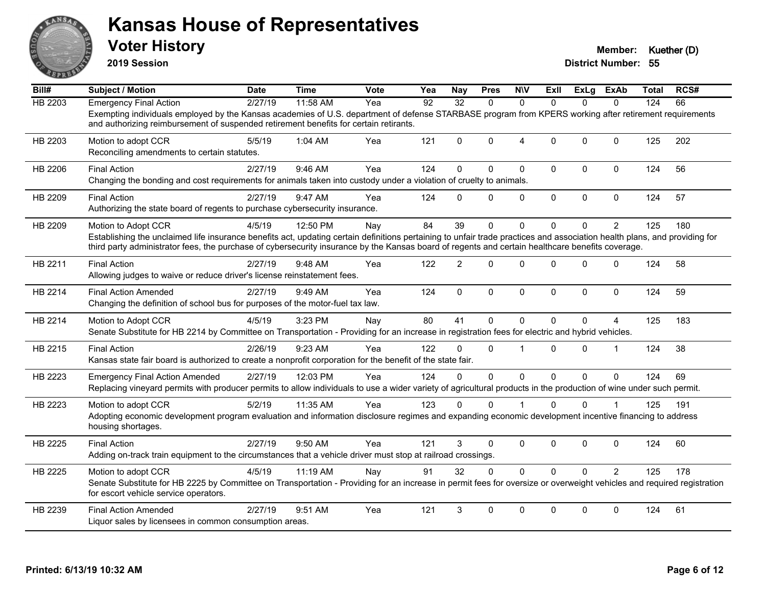

**2019 Session**

| Bill#          | <b>Subject / Motion</b>                                                                                                                                                                                                                                                                                                                              | <b>Date</b> | <b>Time</b> | Vote | Yea | <b>Nay</b>     | <b>Pres</b>  | <b>NIV</b>   | ExII         | <b>ExLg</b> | ExAb           | <b>Total</b> | RCS# |
|----------------|------------------------------------------------------------------------------------------------------------------------------------------------------------------------------------------------------------------------------------------------------------------------------------------------------------------------------------------------------|-------------|-------------|------|-----|----------------|--------------|--------------|--------------|-------------|----------------|--------------|------|
| <b>HB 2203</b> | <b>Emergency Final Action</b>                                                                                                                                                                                                                                                                                                                        | 2/27/19     | 11:58 AM    | Yea  | 92  | 32             | $\Omega$     | $\Omega$     | $\Omega$     | $\Omega$    | $\Omega$       | 124          | 66   |
|                | Exempting individuals employed by the Kansas academies of U.S. department of defense STARBASE program from KPERS working after retirement requirements<br>and authorizing reimbursement of suspended retirement benefits for certain retirants.                                                                                                      |             |             |      |     |                |              |              |              |             |                |              |      |
| HB 2203        | Motion to adopt CCR<br>Reconciling amendments to certain statutes.                                                                                                                                                                                                                                                                                   | 5/5/19      | 1:04 AM     | Yea  | 121 | $\Omega$       | $\mathbf{0}$ | 4            | $\Omega$     | 0           | 0              | 125          | 202  |
| HB 2206        | <b>Final Action</b><br>Changing the bonding and cost requirements for animals taken into custody under a violation of cruelty to animals.                                                                                                                                                                                                            | 2/27/19     | 9:46 AM     | Yea  | 124 | $\Omega$       | $\Omega$     | 0            | $\mathbf 0$  | 0           | $\mathbf 0$    | 124          | 56   |
| HB 2209        | <b>Final Action</b><br>Authorizing the state board of regents to purchase cybersecurity insurance.                                                                                                                                                                                                                                                   | 2/27/19     | 9:47 AM     | Yea  | 124 | $\Omega$       | $\mathbf{0}$ | 0            | $\mathbf 0$  | 0           | $\mathbf 0$    | 124          | 57   |
| HB 2209        | Motion to Adopt CCR<br>Establishing the unclaimed life insurance benefits act, updating certain definitions pertaining to unfair trade practices and association health plans, and providing for<br>third party administrator fees, the purchase of cybersecurity insurance by the Kansas board of regents and certain healthcare benefits coverage. | 4/5/19      | 12:50 PM    | Nay  | 84  | 39             | $\mathbf{0}$ | $\Omega$     | $\Omega$     | 0           | $\overline{2}$ | 125          | 180  |
| HB 2211        | <b>Final Action</b><br>Allowing judges to waive or reduce driver's license reinstatement fees.                                                                                                                                                                                                                                                       | 2/27/19     | 9:48 AM     | Yea  | 122 | $\overline{2}$ | $\Omega$     | $\Omega$     | $\Omega$     | 0           | $\Omega$       | 124          | 58   |
| HB 2214        | <b>Final Action Amended</b><br>Changing the definition of school bus for purposes of the motor-fuel tax law.                                                                                                                                                                                                                                         | 2/27/19     | 9:49 AM     | Yea  | 124 | $\mathbf{0}$   | $\Omega$     | $\mathbf 0$  | $\mathbf 0$  | 0           | $\mathbf 0$    | 124          | 59   |
| HB 2214        | Motion to Adopt CCR<br>Senate Substitute for HB 2214 by Committee on Transportation - Providing for an increase in registration fees for electric and hybrid vehicles.                                                                                                                                                                               | 4/5/19      | 3:23 PM     | Nay  | 80  | 41             | $\mathbf{0}$ | $\Omega$     | $\Omega$     | 0           | 4              | 125          | 183  |
| HB 2215        | <b>Final Action</b><br>Kansas state fair board is authorized to create a nonprofit corporation for the benefit of the state fair.                                                                                                                                                                                                                    | 2/26/19     | 9:23 AM     | Yea  | 122 | $\Omega$       | $\Omega$     | 1            | $\Omega$     | $\Omega$    | -1             | 124          | 38   |
| HB 2223        | <b>Emergency Final Action Amended</b><br>Replacing vineyard permits with producer permits to allow individuals to use a wider variety of agricultural products in the production of wine under such permit.                                                                                                                                          | 2/27/19     | 12:03 PM    | Yea  | 124 | $\Omega$       | $\Omega$     | $\mathbf{0}$ | $\Omega$     | $\Omega$    | $\Omega$       | 124          | 69   |
| HB 2223        | Motion to adopt CCR<br>Adopting economic development program evaluation and information disclosure regimes and expanding economic development incentive financing to address<br>housing shortages.                                                                                                                                                   | 5/2/19      | 11:35 AM    | Yea  | 123 | $\Omega$       | 0            |              | $\Omega$     | 0           |                | 125          | 191  |
| HB 2225        | <b>Final Action</b><br>Adding on-track train equipment to the circumstances that a vehicle driver must stop at railroad crossings.                                                                                                                                                                                                                   | 2/27/19     | 9:50 AM     | Yea  | 121 | 3              | $\mathbf 0$  | $\mathbf 0$  | $\mathbf 0$  | 0           | 0              | 124          | 60   |
| HB 2225        | Motion to adopt CCR<br>Senate Substitute for HB 2225 by Committee on Transportation - Providing for an increase in permit fees for oversize or overweight vehicles and required registration<br>for escort vehicle service operators.                                                                                                                | 4/5/19      | 11:19 AM    | Nay  | 91  | 32             | $\Omega$     | $\Omega$     | $\Omega$     | $\Omega$    | $\mathcal{P}$  | 125          | 178  |
| HB 2239        | <b>Final Action Amended</b><br>Liquor sales by licensees in common consumption areas.                                                                                                                                                                                                                                                                | 2/27/19     | 9:51 AM     | Yea  | 121 | 3              | $\Omega$     | $\Omega$     | $\mathbf{0}$ | $\Omega$    | $\Omega$       | 124          | 61   |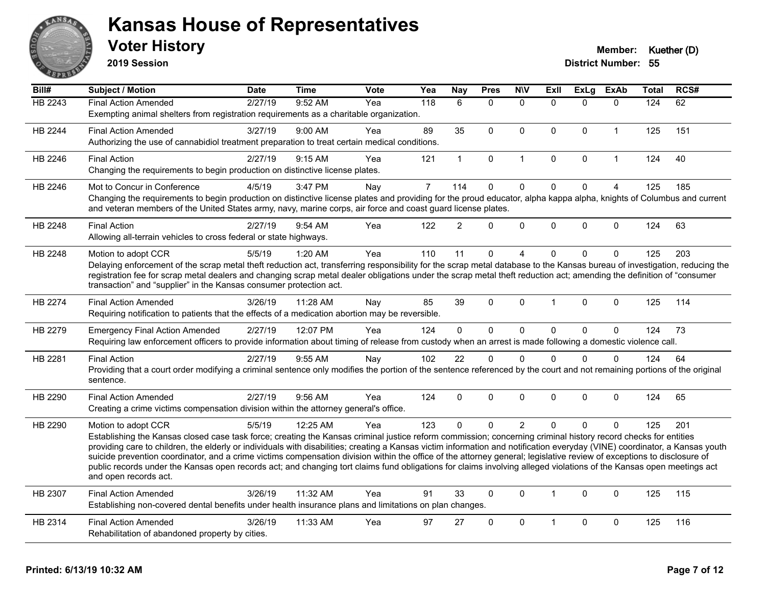

**2019 Session**

| Bill#          | <b>Subject / Motion</b>                                                                                                                                                                                                                                                                                                                               | <b>Date</b> | <b>Time</b> | <b>Vote</b> | Yea            | <b>Nay</b>     | <b>Pres</b>  | <b>NIV</b>     | <b>Exll</b>  | <b>ExLg</b> | <b>ExAb</b>    | Total | RCS# |
|----------------|-------------------------------------------------------------------------------------------------------------------------------------------------------------------------------------------------------------------------------------------------------------------------------------------------------------------------------------------------------|-------------|-------------|-------------|----------------|----------------|--------------|----------------|--------------|-------------|----------------|-------|------|
| <b>HB 2243</b> | <b>Final Action Amended</b>                                                                                                                                                                                                                                                                                                                           | 2/27/19     | 9:52 AM     | Yea         | 118            | 6              | $\Omega$     | $\Omega$       | $\Omega$     | $\Omega$    | $\mathbf{0}$   | 124   | 62   |
|                | Exempting animal shelters from registration requirements as a charitable organization.                                                                                                                                                                                                                                                                |             |             |             |                |                |              |                |              |             |                |       |      |
| HB 2244        | <b>Final Action Amended</b>                                                                                                                                                                                                                                                                                                                           | 3/27/19     | $9:00$ AM   | Yea         | 89             | 35             | $\mathbf{0}$ | $\Omega$       | $\mathbf{0}$ | $\Omega$    | $\mathbf 1$    | 125   | 151  |
|                | Authorizing the use of cannabidiol treatment preparation to treat certain medical conditions.                                                                                                                                                                                                                                                         |             |             |             |                |                |              |                |              |             |                |       |      |
| HB 2246        | <b>Final Action</b>                                                                                                                                                                                                                                                                                                                                   | 2/27/19     | 9:15 AM     | Yea         | 121            | $\mathbf{1}$   | $\mathbf 0$  | $\mathbf{1}$   | $\mathbf 0$  | 0           | $\overline{1}$ | 124   | 40   |
|                | Changing the requirements to begin production on distinctive license plates.                                                                                                                                                                                                                                                                          |             |             |             |                |                |              |                |              |             |                |       |      |
| HB 2246        | Mot to Concur in Conference                                                                                                                                                                                                                                                                                                                           | 4/5/19      | 3:47 PM     | Nay         | $\overline{7}$ | 114            | $\Omega$     | $\mathbf 0$    | $\Omega$     | $\Omega$    | $\overline{4}$ | 125   | 185  |
|                | Changing the requirements to begin production on distinctive license plates and providing for the proud educator, alpha kappa alpha, knights of Columbus and current<br>and veteran members of the United States army, navy, marine corps, air force and coast guard license plates.                                                                  |             |             |             |                |                |              |                |              |             |                |       |      |
| HB 2248        | <b>Final Action</b>                                                                                                                                                                                                                                                                                                                                   | 2/27/19     | 9:54 AM     | Yea         | 122            | 2              | $\Omega$     | $\mathbf 0$    | $\Omega$     | $\mathbf 0$ | $\mathbf{0}$   | 124   | 63   |
|                | Allowing all-terrain vehicles to cross federal or state highways.                                                                                                                                                                                                                                                                                     |             |             |             |                |                |              |                |              |             |                |       |      |
| HB 2248        | Motion to adopt CCR                                                                                                                                                                                                                                                                                                                                   | 5/5/19      | 1:20 AM     | Yea         | 110            | 11             | $\mathbf 0$  | 4              | $\Omega$     | $\Omega$    | $\mathbf 0$    | 125   | 203  |
|                | Delaying enforcement of the scrap metal theft reduction act, transferring responsibility for the scrap metal database to the Kansas bureau of investigation, reducing the                                                                                                                                                                             |             |             |             |                |                |              |                |              |             |                |       |      |
|                | registration fee for scrap metal dealers and changing scrap metal dealer obligations under the scrap metal theft reduction act; amending the definition of "consumer                                                                                                                                                                                  |             |             |             |                |                |              |                |              |             |                |       |      |
|                | transaction" and "supplier" in the Kansas consumer protection act.                                                                                                                                                                                                                                                                                    |             |             |             |                |                |              |                |              |             |                |       |      |
| HB 2274        | <b>Final Action Amended</b>                                                                                                                                                                                                                                                                                                                           | 3/26/19     | 11:28 AM    | Nay         | 85             | 39             | $\mathbf 0$  | 0              | 1            | 0           | $\mathbf 0$    | 125   | 114  |
|                | Requiring notification to patients that the effects of a medication abortion may be reversible.                                                                                                                                                                                                                                                       |             |             |             |                |                |              |                |              |             |                |       |      |
| HB 2279        | <b>Emergency Final Action Amended</b>                                                                                                                                                                                                                                                                                                                 | 2/27/19     | 12:07 PM    | Yea         | 124            | $\overline{0}$ | $\mathbf 0$  | $\mathbf 0$    | $\Omega$     | $\mathbf 0$ | $\mathbf 0$    | 124   | 73   |
|                | Requiring law enforcement officers to provide information about timing of release from custody when an arrest is made following a domestic violence call.                                                                                                                                                                                             |             |             |             |                |                |              |                |              |             |                |       |      |
| HB 2281        | <b>Final Action</b>                                                                                                                                                                                                                                                                                                                                   | 2/27/19     | 9:55 AM     | Nay         | 102            | 22             | $\mathbf 0$  | $\Omega$       | 0            | $\Omega$    | $\mathbf 0$    | 124   | 64   |
|                | Providing that a court order modifying a criminal sentence only modifies the portion of the sentence referenced by the court and not remaining portions of the original                                                                                                                                                                               |             |             |             |                |                |              |                |              |             |                |       |      |
|                | sentence.                                                                                                                                                                                                                                                                                                                                             |             |             |             |                |                |              |                |              |             |                |       |      |
| HB 2290        | <b>Final Action Amended</b>                                                                                                                                                                                                                                                                                                                           | 2/27/19     | 9:56 AM     | Yea         | 124            | $\mathbf 0$    | $\Omega$     | 0              | $\Omega$     | $\Omega$    | $\Omega$       | 124   | 65   |
|                | Creating a crime victims compensation division within the attorney general's office.                                                                                                                                                                                                                                                                  |             |             |             |                |                |              |                |              |             |                |       |      |
| HB 2290        | Motion to adopt CCR                                                                                                                                                                                                                                                                                                                                   | 5/5/19      | 12:25 AM    | Yea         | 123            | $\Omega$       | $\Omega$     | $\overline{2}$ | $\Omega$     | $\Omega$    | $\Omega$       | 125   | 201  |
|                | Establishing the Kansas closed case task force; creating the Kansas criminal justice reform commission; concerning criminal history record checks for entities                                                                                                                                                                                        |             |             |             |                |                |              |                |              |             |                |       |      |
|                | providing care to children, the elderly or individuals with disabilities; creating a Kansas victim information and notification everyday (VINE) coordinator, a Kansas youth<br>suicide prevention coordinator, and a crime victims compensation division within the office of the attorney general; legislative review of exceptions to disclosure of |             |             |             |                |                |              |                |              |             |                |       |      |
|                | public records under the Kansas open records act; and changing tort claims fund obligations for claims involving alleged violations of the Kansas open meetings act                                                                                                                                                                                   |             |             |             |                |                |              |                |              |             |                |       |      |
|                | and open records act.                                                                                                                                                                                                                                                                                                                                 |             |             |             |                |                |              |                |              |             |                |       |      |
| HB 2307        | <b>Final Action Amended</b>                                                                                                                                                                                                                                                                                                                           | 3/26/19     | 11:32 AM    | Yea         | 91             | 33             | $\mathbf{0}$ | $\Omega$       | 1            | $\Omega$    | $\mathbf{0}$   | 125   | 115  |
|                | Establishing non-covered dental benefits under health insurance plans and limitations on plan changes.                                                                                                                                                                                                                                                |             |             |             |                |                |              |                |              |             |                |       |      |
| HB 2314        | <b>Final Action Amended</b>                                                                                                                                                                                                                                                                                                                           | 3/26/19     | 11:33 AM    | Yea         | 97             | 27             | $\Omega$     | $\Omega$       |              | $\Omega$    | $\mathbf{0}$   | 125   | 116  |
|                | Rehabilitation of abandoned property by cities.                                                                                                                                                                                                                                                                                                       |             |             |             |                |                |              |                |              |             |                |       |      |
|                |                                                                                                                                                                                                                                                                                                                                                       |             |             |             |                |                |              |                |              |             |                |       |      |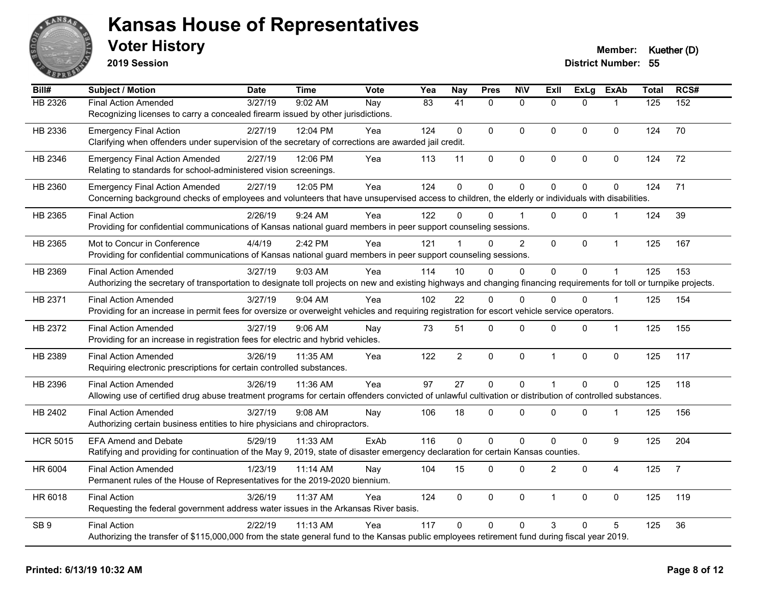

**2019 Session**

| Bill#           | <b>Subject / Motion</b>                                                                                                                                                | <b>Date</b> | <b>Time</b> | Vote | Yea | <b>Nay</b>      | <b>Pres</b> | <b>NIV</b>     | ExII                 | <b>ExLg</b> | <b>ExAb</b>    | <b>Total</b> | RCS#           |
|-----------------|------------------------------------------------------------------------------------------------------------------------------------------------------------------------|-------------|-------------|------|-----|-----------------|-------------|----------------|----------------------|-------------|----------------|--------------|----------------|
| HB 2326         | <b>Final Action Amended</b>                                                                                                                                            | 3/27/19     | 9:02 AM     | Nay  | 83  | $\overline{41}$ | $\Omega$    | $\mathbf 0$    | $\Omega$             | $\Omega$    | $\mathbf 1$    | 125          | 152            |
|                 | Recognizing licenses to carry a concealed firearm issued by other jurisdictions.                                                                                       |             |             |      |     |                 |             |                |                      |             |                |              |                |
| HB 2336         | <b>Emergency Final Action</b>                                                                                                                                          | 2/27/19     | 12:04 PM    | Yea  | 124 | $\Omega$        | $\Omega$    | $\mathbf{0}$   | $\Omega$             | $\Omega$    | $\Omega$       | 124          | 70             |
|                 | Clarifying when offenders under supervision of the secretary of corrections are awarded jail credit.                                                                   |             |             |      |     |                 |             |                |                      |             |                |              |                |
| HB 2346         | <b>Emergency Final Action Amended</b>                                                                                                                                  | 2/27/19     | 12:06 PM    | Yea  | 113 | 11              | $\mathbf 0$ | $\pmb{0}$      | $\pmb{0}$            | 0           | $\mathsf 0$    | 124          | 72             |
|                 | Relating to standards for school-administered vision screenings.                                                                                                       |             |             |      |     |                 |             |                |                      |             |                |              |                |
| HB 2360         | <b>Emergency Final Action Amended</b>                                                                                                                                  | 2/27/19     | 12:05 PM    | Yea  | 124 | $\mathbf{0}$    | $\mathbf 0$ | $\pmb{0}$      | $\Omega$             | 0           | 0              | 124          | 71             |
|                 | Concerning background checks of employees and volunteers that have unsupervised access to children, the elderly or individuals with disabilities.                      |             |             |      |     |                 |             |                |                      |             |                |              |                |
| HB 2365         | <b>Final Action</b>                                                                                                                                                    | 2/26/19     | 9:24 AM     | Yea  | 122 | 0               | 0           |                | $\Omega$             | $\Omega$    | $\mathbf 1$    | 124          | 39             |
|                 | Providing for confidential communications of Kansas national guard members in peer support counseling sessions.                                                        |             |             |      |     |                 |             |                |                      |             |                |              |                |
| HB 2365         | Mot to Concur in Conference                                                                                                                                            | 4/4/19      | 2:42 PM     | Yea  | 121 | 1               | $\Omega$    | $\overline{c}$ | $\Omega$             | 0           | $\mathbf{1}$   | 125          | 167            |
|                 | Providing for confidential communications of Kansas national guard members in peer support counseling sessions.                                                        |             |             |      |     |                 |             |                |                      |             |                |              |                |
| HB 2369         | <b>Final Action Amended</b>                                                                                                                                            | 3/27/19     | 9:03 AM     | Yea  | 114 | 10              | $\Omega$    | $\mathbf 0$    | $\Omega$             | $\Omega$    | $\mathbf 1$    | 125          | 153            |
|                 | Authorizing the secretary of transportation to designate toll projects on new and existing highways and changing financing requirements for toll or turnpike projects. |             |             |      |     |                 |             |                |                      |             |                |              |                |
| HB 2371         | <b>Final Action Amended</b>                                                                                                                                            | 3/27/19     | 9:04 AM     | Yea  | 102 | 22              | $\Omega$    | $\mathbf{0}$   | $\Omega$             | $\Omega$    | $\mathbf{1}$   | 125          | 154            |
|                 | Providing for an increase in permit fees for oversize or overweight vehicles and requiring registration for escort vehicle service operators.                          |             |             |      |     |                 |             |                |                      |             |                |              |                |
| HB 2372         | <b>Final Action Amended</b>                                                                                                                                            | 3/27/19     | $9:06$ AM   | Nay  | 73  | 51              | 0           | $\mathbf 0$    | $\Omega$             | $\mathbf 0$ | $\mathbf{1}$   | 125          | 155            |
|                 | Providing for an increase in registration fees for electric and hybrid vehicles.                                                                                       |             |             |      |     |                 |             |                |                      |             |                |              |                |
| HB 2389         | <b>Final Action Amended</b>                                                                                                                                            | 3/26/19     | 11:35 AM    | Yea  | 122 | $\overline{2}$  | $\pmb{0}$   | $\pmb{0}$      | $\blacktriangleleft$ | $\mathbf 0$ | $\mathsf 0$    | 125          | 117            |
|                 | Requiring electronic prescriptions for certain controlled substances.                                                                                                  |             |             |      |     |                 |             |                |                      |             |                |              |                |
| HB 2396         | <b>Final Action Amended</b>                                                                                                                                            | 3/26/19     | 11:36 AM    | Yea  | 97  | 27              | $\mathbf 0$ | $\mathbf 0$    | $\blacktriangleleft$ | $\Omega$    | $\mathbf 0$    | 125          | 118            |
|                 | Allowing use of certified drug abuse treatment programs for certain offenders convicted of unlawful cultivation or distribution of controlled substances.              |             |             |      |     |                 |             |                |                      |             |                |              |                |
| HB 2402         | <b>Final Action Amended</b>                                                                                                                                            | 3/27/19     | $9:08$ AM   | Nay  | 106 | 18              | 0           | $\mathbf{0}$   | $\Omega$             | $\Omega$    | $\mathbf 1$    | 125          | 156            |
|                 | Authorizing certain business entities to hire physicians and chiropractors.                                                                                            |             |             |      |     |                 |             |                |                      |             |                |              |                |
| <b>HCR 5015</b> | <b>EFA Amend and Debate</b>                                                                                                                                            | 5/29/19     | 11:33 AM    | ExAb | 116 | 0               | 0           | $\mathbf 0$    | $\Omega$             | $\mathbf 0$ | 9              | 125          | 204            |
|                 | Ratifying and providing for continuation of the May 9, 2019, state of disaster emergency declaration for certain Kansas counties.                                      |             |             |      |     |                 |             |                |                      |             |                |              |                |
| HR 6004         | <b>Final Action Amended</b>                                                                                                                                            | 1/23/19     | 11:14 AM    | Nay  | 104 | 15              | 0           | $\mathbf 0$    | $\overline{2}$       | $\Omega$    | $\overline{4}$ | 125          | $\overline{7}$ |
|                 | Permanent rules of the House of Representatives for the 2019-2020 biennium.                                                                                            |             |             |      |     |                 |             |                |                      |             |                |              |                |
| HR 6018         | <b>Final Action</b>                                                                                                                                                    | 3/26/19     | 11:37 AM    | Yea  | 124 | 0               | $\mathbf 0$ | $\pmb{0}$      | $\overline{1}$       | $\mathbf 0$ | 0              | 125          | 119            |
|                 | Requesting the federal government address water issues in the Arkansas River basis.                                                                                    |             |             |      |     |                 |             |                |                      |             |                |              |                |
| SB <sub>9</sub> | <b>Final Action</b>                                                                                                                                                    | 2/22/19     | 11:13 AM    | Yea  | 117 | $\Omega$        | $\Omega$    | $\mathbf{0}$   | 3                    | $\Omega$    | 5              | 125          | 36             |
|                 | Authorizing the transfer of \$115,000,000 from the state general fund to the Kansas public employees retirement fund during fiscal year 2019.                          |             |             |      |     |                 |             |                |                      |             |                |              |                |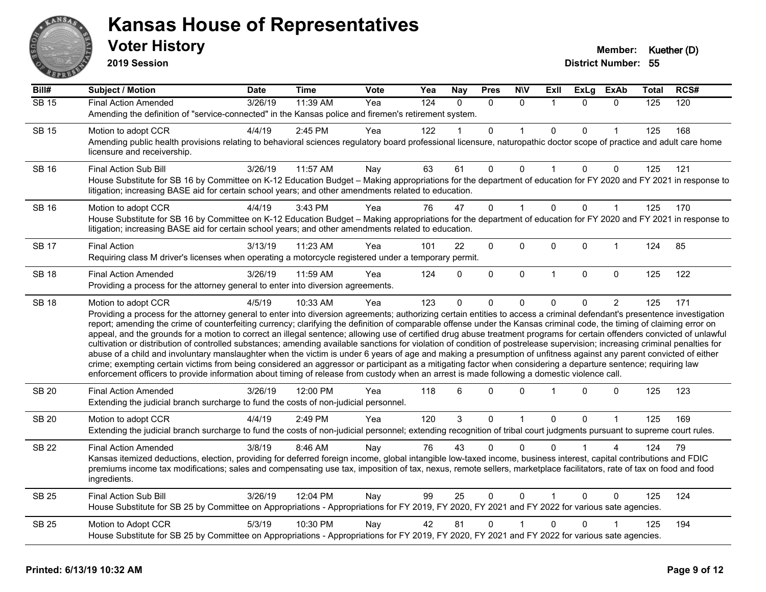

**2019 Session**

| Bill#        | <b>Subject / Motion</b>                                                                                                                                                                                                                                                                                                                                                                                                                                                                                                                                                                                                                                                                                                                                                                                                                                                                                                                                                                                                                                                                                                                                                                              | <b>Date</b> | <b>Time</b> | Vote | Yea | <b>Nay</b> | <b>Pres</b> | <b>NIV</b>   | ExII                 | <b>ExLg</b> | <b>ExAb</b>    | <b>Total</b> | RCS# |
|--------------|------------------------------------------------------------------------------------------------------------------------------------------------------------------------------------------------------------------------------------------------------------------------------------------------------------------------------------------------------------------------------------------------------------------------------------------------------------------------------------------------------------------------------------------------------------------------------------------------------------------------------------------------------------------------------------------------------------------------------------------------------------------------------------------------------------------------------------------------------------------------------------------------------------------------------------------------------------------------------------------------------------------------------------------------------------------------------------------------------------------------------------------------------------------------------------------------------|-------------|-------------|------|-----|------------|-------------|--------------|----------------------|-------------|----------------|--------------|------|
| <b>SB 15</b> | <b>Final Action Amended</b>                                                                                                                                                                                                                                                                                                                                                                                                                                                                                                                                                                                                                                                                                                                                                                                                                                                                                                                                                                                                                                                                                                                                                                          | 3/26/19     | 11:39 AM    | Yea  | 124 | $\Omega$   | $\Omega$    | $\Omega$     | $\overline{1}$       | $\Omega$    | $\Omega$       | 125          | 120  |
|              | Amending the definition of "service-connected" in the Kansas police and firemen's retirement system.                                                                                                                                                                                                                                                                                                                                                                                                                                                                                                                                                                                                                                                                                                                                                                                                                                                                                                                                                                                                                                                                                                 |             |             |      |     |            |             |              |                      |             |                |              |      |
| <b>SB 15</b> | Motion to adopt CCR                                                                                                                                                                                                                                                                                                                                                                                                                                                                                                                                                                                                                                                                                                                                                                                                                                                                                                                                                                                                                                                                                                                                                                                  | 4/4/19      | 2:45 PM     | Yea  | 122 |            | 0           |              | $\mathbf{0}$         | $\Omega$    | 1              | 125          | 168  |
|              | Amending public health provisions relating to behavioral sciences regulatory board professional licensure, naturopathic doctor scope of practice and adult care home<br>licensure and receivership.                                                                                                                                                                                                                                                                                                                                                                                                                                                                                                                                                                                                                                                                                                                                                                                                                                                                                                                                                                                                  |             |             |      |     |            |             |              |                      |             |                |              |      |
| <b>SB 16</b> | <b>Final Action Sub Bill</b>                                                                                                                                                                                                                                                                                                                                                                                                                                                                                                                                                                                                                                                                                                                                                                                                                                                                                                                                                                                                                                                                                                                                                                         | 3/26/19     | 11:57 AM    | Nay  | 63  | 61         | 0           | 0            |                      | 0           | 0              | 125          | 121  |
|              | House Substitute for SB 16 by Committee on K-12 Education Budget - Making appropriations for the department of education for FY 2020 and FY 2021 in response to<br>litigation; increasing BASE aid for certain school years; and other amendments related to education.                                                                                                                                                                                                                                                                                                                                                                                                                                                                                                                                                                                                                                                                                                                                                                                                                                                                                                                              |             |             |      |     |            |             |              |                      |             |                |              |      |
| <b>SB 16</b> | Motion to adopt CCR                                                                                                                                                                                                                                                                                                                                                                                                                                                                                                                                                                                                                                                                                                                                                                                                                                                                                                                                                                                                                                                                                                                                                                                  | 4/4/19      | 3:43 PM     | Yea  | 76  | 47         | 0           | $\mathbf{1}$ | $\mathbf{0}$         | $\Omega$    | $\mathbf{1}$   | 125          | 170  |
|              | House Substitute for SB 16 by Committee on K-12 Education Budget - Making appropriations for the department of education for FY 2020 and FY 2021 in response to<br>litigation; increasing BASE aid for certain school years; and other amendments related to education.                                                                                                                                                                                                                                                                                                                                                                                                                                                                                                                                                                                                                                                                                                                                                                                                                                                                                                                              |             |             |      |     |            |             |              |                      |             |                |              |      |
| <b>SB 17</b> | <b>Final Action</b>                                                                                                                                                                                                                                                                                                                                                                                                                                                                                                                                                                                                                                                                                                                                                                                                                                                                                                                                                                                                                                                                                                                                                                                  | 3/13/19     | 11:23 AM    | Yea  | 101 | 22         | 0           | $\mathbf 0$  | $\mathbf 0$          | 0           | $\mathbf{1}$   | 124          | 85   |
|              | Requiring class M driver's licenses when operating a motorcycle registered under a temporary permit.                                                                                                                                                                                                                                                                                                                                                                                                                                                                                                                                                                                                                                                                                                                                                                                                                                                                                                                                                                                                                                                                                                 |             |             |      |     |            |             |              |                      |             |                |              |      |
| <b>SB 18</b> | <b>Final Action Amended</b>                                                                                                                                                                                                                                                                                                                                                                                                                                                                                                                                                                                                                                                                                                                                                                                                                                                                                                                                                                                                                                                                                                                                                                          | 3/26/19     | 11:59 AM    | Yea  | 124 | $\Omega$   | 0           | $\mathbf 0$  | $\mathbf{1}$         | $\mathbf 0$ | $\mathbf 0$    | 125          | 122  |
|              | Providing a process for the attorney general to enter into diversion agreements.                                                                                                                                                                                                                                                                                                                                                                                                                                                                                                                                                                                                                                                                                                                                                                                                                                                                                                                                                                                                                                                                                                                     |             |             |      |     |            |             |              |                      |             |                |              |      |
| <b>SB 18</b> | Motion to adopt CCR                                                                                                                                                                                                                                                                                                                                                                                                                                                                                                                                                                                                                                                                                                                                                                                                                                                                                                                                                                                                                                                                                                                                                                                  | 4/5/19      | 10:33 AM    | Yea  | 123 | $\Omega$   | 0           | $\Omega$     | $\Omega$             | 0           | $\overline{2}$ | 125          | 171  |
|              | Providing a process for the attorney general to enter into diversion agreements; authorizing certain entities to access a criminal defendant's presentence investigation<br>report; amending the crime of counterfeiting currency; clarifying the definition of comparable offense under the Kansas criminal code, the timing of claiming error on<br>appeal, and the grounds for a motion to correct an illegal sentence; allowing use of certified drug abuse treatment programs for certain offenders convicted of unlawful<br>cultivation or distribution of controlled substances; amending available sanctions for violation of condition of postrelease supervision; increasing criminal penalties for<br>abuse of a child and involuntary manslaughter when the victim is under 6 years of age and making a presumption of unfitness against any parent convicted of either<br>crime; exempting certain victims from being considered an aggressor or participant as a mitigating factor when considering a departure sentence; requiring law<br>enforcement officers to provide information about timing of release from custody when an arrest is made following a domestic violence call. |             |             |      |     |            |             |              |                      |             |                |              |      |
| <b>SB 20</b> | <b>Final Action Amended</b><br>Extending the judicial branch surcharge to fund the costs of non-judicial personnel.                                                                                                                                                                                                                                                                                                                                                                                                                                                                                                                                                                                                                                                                                                                                                                                                                                                                                                                                                                                                                                                                                  | 3/26/19     | 12:00 PM    | Yea  | 118 | 6          | $\Omega$    | $\Omega$     | $\blacktriangleleft$ | 0           | $\mathbf 0$    | 125          | 123  |
| <b>SB 20</b> | Motion to adopt CCR                                                                                                                                                                                                                                                                                                                                                                                                                                                                                                                                                                                                                                                                                                                                                                                                                                                                                                                                                                                                                                                                                                                                                                                  | 4/4/19      | 2:49 PM     | Yea  | 120 | 3          | 0           | 1            | $\mathbf 0$          | $\Omega$    | 1              | 125          | 169  |
|              | Extending the judicial branch surcharge to fund the costs of non-judicial personnel; extending recognition of tribal court judgments pursuant to supreme court rules.                                                                                                                                                                                                                                                                                                                                                                                                                                                                                                                                                                                                                                                                                                                                                                                                                                                                                                                                                                                                                                |             |             |      |     |            |             |              |                      |             |                |              |      |
| <b>SB 22</b> | <b>Final Action Amended</b>                                                                                                                                                                                                                                                                                                                                                                                                                                                                                                                                                                                                                                                                                                                                                                                                                                                                                                                                                                                                                                                                                                                                                                          | 3/8/19      | 8:46 AM     | Nay  | 76  | 43         | 0           | $\Omega$     | $\Omega$             |             | 4              | 124          | 79   |
|              | Kansas itemized deductions, election, providing for deferred foreign income, global intangible low-taxed income, business interest, capital contributions and FDIC<br>premiums income tax modifications; sales and compensating use tax, imposition of tax, nexus, remote sellers, marketplace facilitators, rate of tax on food and food<br>ingredients.                                                                                                                                                                                                                                                                                                                                                                                                                                                                                                                                                                                                                                                                                                                                                                                                                                            |             |             |      |     |            |             |              |                      |             |                |              |      |
| <b>SB 25</b> | <b>Final Action Sub Bill</b>                                                                                                                                                                                                                                                                                                                                                                                                                                                                                                                                                                                                                                                                                                                                                                                                                                                                                                                                                                                                                                                                                                                                                                         | 3/26/19     | 12:04 PM    | Nay  | 99  | 25         | 0           | $\Omega$     | $\overline{1}$       | $\Omega$    | $\Omega$       | 125          | 124  |
|              | House Substitute for SB 25 by Committee on Appropriations - Appropriations for FY 2019, FY 2020, FY 2021 and FY 2022 for various sate agencies.                                                                                                                                                                                                                                                                                                                                                                                                                                                                                                                                                                                                                                                                                                                                                                                                                                                                                                                                                                                                                                                      |             |             |      |     |            |             |              |                      |             |                |              |      |
| <b>SB 25</b> | Motion to Adopt CCR                                                                                                                                                                                                                                                                                                                                                                                                                                                                                                                                                                                                                                                                                                                                                                                                                                                                                                                                                                                                                                                                                                                                                                                  | 5/3/19      | 10:30 PM    | Nay  | 42  | 81         | 0           |              | $\Omega$             | 0           |                | 125          | 194  |
|              | House Substitute for SB 25 by Committee on Appropriations - Appropriations for FY 2019, FY 2020, FY 2021 and FY 2022 for various sate agencies.                                                                                                                                                                                                                                                                                                                                                                                                                                                                                                                                                                                                                                                                                                                                                                                                                                                                                                                                                                                                                                                      |             |             |      |     |            |             |              |                      |             |                |              |      |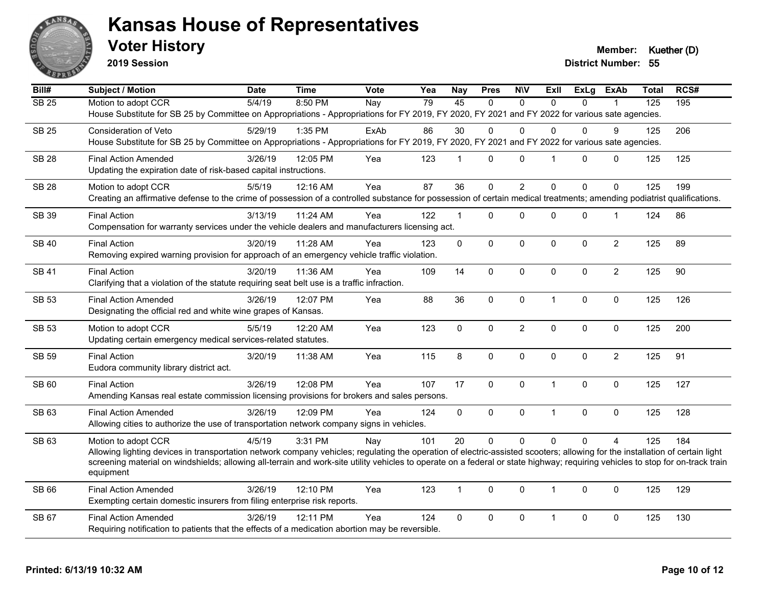

**2019 Session**

**Voter History Member: Kuether (D)** 

| Bill#        | <b>Subject / Motion</b>                                                                                                                                                                             | <b>Date</b> | <b>Time</b> | <b>Vote</b> | Yea | <b>Nay</b>     | <b>Pres</b> | <b>NIV</b>     | <b>ExII</b>    | <b>ExLg</b>  | <b>ExAb</b>    | <b>Total</b>     | RCS# |
|--------------|-----------------------------------------------------------------------------------------------------------------------------------------------------------------------------------------------------|-------------|-------------|-------------|-----|----------------|-------------|----------------|----------------|--------------|----------------|------------------|------|
| <b>SB 25</b> | Motion to adopt CCR                                                                                                                                                                                 | 5/4/19      | 8:50 PM     | Nay         | 79  | 45             | $\Omega$    | $\Omega$       | $\Omega$       | $\Omega$     |                | $\overline{125}$ | 195  |
|              | House Substitute for SB 25 by Committee on Appropriations - Appropriations for FY 2019, FY 2020, FY 2021 and FY 2022 for various sate agencies.                                                     |             |             |             |     |                |             |                |                |              |                |                  |      |
| <b>SB 25</b> | Consideration of Veto                                                                                                                                                                               | 5/29/19     | 1:35 PM     | ExAb        | 86  | 30             | $\Omega$    | $\Omega$       | $\Omega$       | $\mathbf{0}$ | 9              | 125              | 206  |
|              | House Substitute for SB 25 by Committee on Appropriations - Appropriations for FY 2019, FY 2020, FY 2021 and FY 2022 for various sate agencies.                                                     |             |             |             |     |                |             |                |                |              |                |                  |      |
| <b>SB 28</b> | <b>Final Action Amended</b>                                                                                                                                                                         | 3/26/19     | 12:05 PM    | Yea         | 123 | $\overline{1}$ | $\Omega$    | $\mathbf{0}$   | $\overline{1}$ | $\Omega$     | 0              | 125              | 125  |
|              | Updating the expiration date of risk-based capital instructions.                                                                                                                                    |             |             |             |     |                |             |                |                |              |                |                  |      |
| <b>SB 28</b> | Motion to adopt CCR                                                                                                                                                                                 | 5/5/19      | 12:16 AM    | Yea         | 87  | 36             | 0           | $\overline{2}$ | $\mathbf{0}$   | $\Omega$     | $\Omega$       | 125              | 199  |
|              | Creating an affirmative defense to the crime of possession of a controlled substance for possession of certain medical treatments; amending podiatrist qualifications.                              |             |             |             |     |                |             |                |                |              |                |                  |      |
| SB 39        | <b>Final Action</b>                                                                                                                                                                                 | 3/13/19     | 11:24 AM    | Yea         | 122 | $\mathbf{1}$   | $\Omega$    | 0              | $\Omega$       | 0            | $\mathbf{1}$   | 124              | 86   |
|              | Compensation for warranty services under the vehicle dealers and manufacturers licensing act.                                                                                                       |             |             |             |     |                |             |                |                |              |                |                  |      |
| <b>SB40</b>  | <b>Final Action</b>                                                                                                                                                                                 | 3/20/19     | 11:28 AM    | Yea         | 123 | $\mathbf{0}$   | $\mathbf 0$ | $\pmb{0}$      | $\mathbf 0$    | 0            | $\overline{2}$ | 125              | 89   |
|              | Removing expired warning provision for approach of an emergency vehicle traffic violation.                                                                                                          |             |             |             |     |                |             |                |                |              |                |                  |      |
| <b>SB 41</b> | <b>Final Action</b>                                                                                                                                                                                 | 3/20/19     | 11:36 AM    | Yea         | 109 | 14             | $\Omega$    | $\Omega$       | $\mathbf{0}$   | $\Omega$     | $\overline{2}$ | 125              | 90   |
|              | Clarifying that a violation of the statute requiring seat belt use is a traffic infraction.                                                                                                         |             |             |             |     |                |             |                |                |              |                |                  |      |
| <b>SB 53</b> | <b>Final Action Amended</b>                                                                                                                                                                         | 3/26/19     | 12:07 PM    | Yea         | 88  | 36             | 0           | $\mathbf 0$    | $\mathbf{1}$   | 0            | $\mathbf 0$    | 125              | 126  |
|              | Designating the official red and white wine grapes of Kansas.                                                                                                                                       |             |             |             |     |                |             |                |                |              |                |                  |      |
| <b>SB 53</b> | Motion to adopt CCR                                                                                                                                                                                 | 5/5/19      | 12:20 AM    | Yea         | 123 | 0              | 0           | $\overline{2}$ | $\mathbf 0$    | 0            | $\mathbf 0$    | 125              | 200  |
|              | Updating certain emergency medical services-related statutes.                                                                                                                                       |             |             |             |     |                |             |                |                |              |                |                  |      |
| <b>SB 59</b> | <b>Final Action</b>                                                                                                                                                                                 | 3/20/19     | 11:38 AM    | Yea         | 115 | 8              | $\Omega$    | $\mathbf 0$    | $\mathbf{0}$   | $\Omega$     | $\overline{2}$ | 125              | 91   |
|              | Eudora community library district act.                                                                                                                                                              |             |             |             |     |                |             |                |                |              |                |                  |      |
| <b>SB 60</b> | <b>Final Action</b>                                                                                                                                                                                 | 3/26/19     | 12:08 PM    | Yea         | 107 | 17             | 0           | $\mathbf 0$    | $\overline{1}$ | 0            | $\mathbf 0$    | 125              | 127  |
|              | Amending Kansas real estate commission licensing provisions for brokers and sales persons.                                                                                                          |             |             |             |     |                |             |                |                |              |                |                  |      |
| SB 63        | <b>Final Action Amended</b>                                                                                                                                                                         | 3/26/19     | 12:09 PM    | Yea         | 124 | 0              | 0           | $\pmb{0}$      | $\overline{1}$ | 0            | $\mathbf 0$    | 125              | 128  |
|              | Allowing cities to authorize the use of transportation network company signs in vehicles.                                                                                                           |             |             |             |     |                |             |                |                |              |                |                  |      |
| SB 63        |                                                                                                                                                                                                     | 4/5/19      | 3:31 PM     |             | 101 | 20             | $\Omega$    | $\Omega$       | $\Omega$       | $\Omega$     | $\overline{4}$ | 125              | 184  |
|              | Motion to adopt CCR<br>Allowing lighting devices in transportation network company vehicles; regulating the operation of electric-assisted scooters; allowing for the installation of certain light |             |             | Nay         |     |                |             |                |                |              |                |                  |      |
|              | screening material on windshields; allowing all-terrain and work-site utility vehicles to operate on a federal or state highway; requiring vehicles to stop for on-track train                      |             |             |             |     |                |             |                |                |              |                |                  |      |
|              | equipment                                                                                                                                                                                           |             |             |             |     |                |             |                |                |              |                |                  |      |
| SB 66        | <b>Final Action Amended</b>                                                                                                                                                                         | 3/26/19     | 12:10 PM    | Yea         | 123 | $\mathbf{1}$   | $\Omega$    | $\Omega$       | $\overline{1}$ | $\Omega$     | $\mathbf{0}$   | 125              | 129  |
|              | Exempting certain domestic insurers from filing enterprise risk reports.                                                                                                                            |             |             |             |     |                |             |                |                |              |                |                  |      |
| SB 67        | <b>Final Action Amended</b>                                                                                                                                                                         | 3/26/19     | 12:11 PM    | Yea         | 124 | 0              | 0           | 0              | $\mathbf 1$    | 0            | $\mathbf 0$    | 125              | 130  |
|              | Requiring notification to patients that the effects of a medication abortion may be reversible.                                                                                                     |             |             |             |     |                |             |                |                |              |                |                  |      |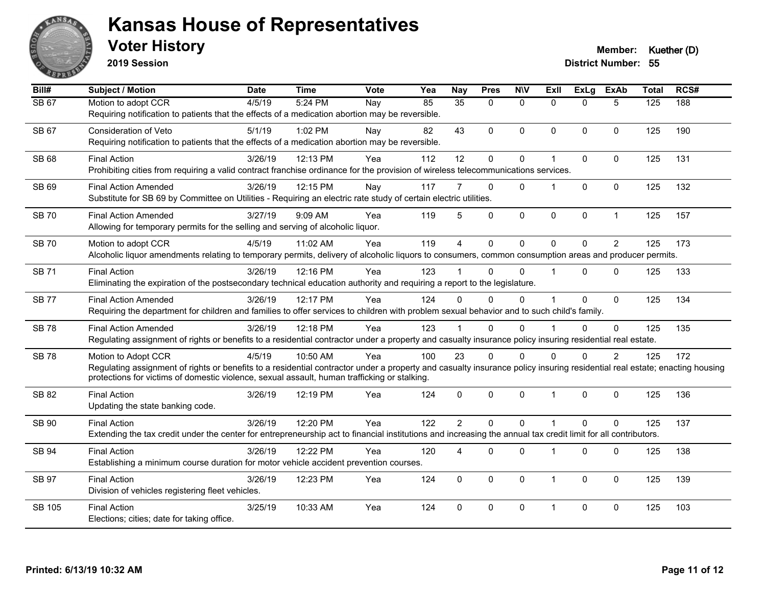

**2019 Session**

| Bill#         | <b>Subject / Motion</b>                                                                                                                                                                                                                                                                          | <b>Date</b> | <b>Time</b> | Vote | Yea | <b>Nay</b>      | <b>Pres</b>  | <b>NIV</b>   | <b>ExII</b>          | <b>ExLg</b>  | <b>ExAb</b>    | <b>Total</b> | RCS# |
|---------------|--------------------------------------------------------------------------------------------------------------------------------------------------------------------------------------------------------------------------------------------------------------------------------------------------|-------------|-------------|------|-----|-----------------|--------------|--------------|----------------------|--------------|----------------|--------------|------|
| <b>SB 67</b>  | Motion to adopt CCR<br>Requiring notification to patients that the effects of a medication abortion may be reversible.                                                                                                                                                                           | 4/5/19      | 5:24 PM     | Nay  | 85  | $\overline{35}$ | $\Omega$     | $\Omega$     | $\Omega$             | $\Omega$     | 5              | 125          | 188  |
| SB 67         | Consideration of Veto<br>Requiring notification to patients that the effects of a medication abortion may be reversible.                                                                                                                                                                         | 5/1/19      | 1:02 PM     | Nav  | 82  | 43              | $\Omega$     | $\mathbf{0}$ | $\Omega$             | $\Omega$     | $\Omega$       | 125          | 190  |
| <b>SB 68</b>  | <b>Final Action</b><br>Prohibiting cities from requiring a valid contract franchise ordinance for the provision of wireless telecommunications services.                                                                                                                                         | 3/26/19     | 12:13 PM    | Yea  | 112 | 12              | $\pmb{0}$    | $\pmb{0}$    | 1                    | $\Omega$     | $\Omega$       | 125          | 131  |
| SB 69         | <b>Final Action Amended</b><br>Substitute for SB 69 by Committee on Utilities - Requiring an electric rate study of certain electric utilities.                                                                                                                                                  | 3/26/19     | 12:15 PM    | Nay  | 117 |                 | 0            | $\mathbf{0}$ | $\mathbf 1$          | $\Omega$     | $\Omega$       | 125          | 132  |
| <b>SB70</b>   | <b>Final Action Amended</b><br>Allowing for temporary permits for the selling and serving of alcoholic liquor.                                                                                                                                                                                   | 3/27/19     | 9:09 AM     | Yea  | 119 | 5               | $\Omega$     | $\pmb{0}$    | 0                    | 0            | $\mathbf{1}$   | 125          | 157  |
| <b>SB 70</b>  | Motion to adopt CCR<br>Alcoholic liquor amendments relating to temporary permits, delivery of alcoholic liquors to consumers, common consumption areas and producer permits.                                                                                                                     | 4/5/19      | 11:02 AM    | Yea  | 119 | $\overline{4}$  | $\mathbf 0$  | $\mathbf 0$  | $\Omega$             | $\mathbf 0$  | $\overline{2}$ | 125          | 173  |
| <b>SB 71</b>  | <b>Final Action</b><br>Eliminating the expiration of the postsecondary technical education authority and requiring a report to the legislature.                                                                                                                                                  | 3/26/19     | 12:16 PM    | Yea  | 123 |                 | $\Omega$     | $\Omega$     | $\blacktriangleleft$ | $\Omega$     | $\mathbf{0}$   | 125          | 133  |
| <b>SB77</b>   | <b>Final Action Amended</b><br>Requiring the department for children and families to offer services to children with problem sexual behavior and to such child's family.                                                                                                                         | 3/26/19     | 12:17 PM    | Yea  | 124 | $\Omega$        | $\Omega$     | $\mathbf{0}$ | $\blacktriangleleft$ | $\Omega$     | $\mathbf{0}$   | 125          | 134  |
| <b>SB78</b>   | <b>Final Action Amended</b><br>Regulating assignment of rights or benefits to a residential contractor under a property and casualty insurance policy insuring residential real estate.                                                                                                          | 3/26/19     | 12:18 PM    | Yea  | 123 |                 | $\Omega$     | $\Omega$     |                      | $\Omega$     | $\Omega$       | 125          | 135  |
| <b>SB78</b>   | Motion to Adopt CCR<br>Regulating assignment of rights or benefits to a residential contractor under a property and casualty insurance policy insuring residential real estate; enacting housing<br>protections for victims of domestic violence, sexual assault, human trafficking or stalking. | 4/5/19      | 10:50 AM    | Yea  | 100 | 23              | $\Omega$     | $\Omega$     | $\Omega$             | $\Omega$     | 2              | 125          | 172  |
| SB 82         | <b>Final Action</b><br>Updating the state banking code.                                                                                                                                                                                                                                          | 3/26/19     | 12:19 PM    | Yea  | 124 | $\mathbf{0}$    | $\Omega$     | $\mathbf 0$  | $\overline{1}$       | $\Omega$     | $\mathbf 0$    | 125          | 136  |
| SB 90         | <b>Final Action</b><br>Extending the tax credit under the center for entrepreneurship act to financial institutions and increasing the annual tax credit limit for all contributors.                                                                                                             | 3/26/19     | 12:20 PM    | Yea  | 122 | $\overline{2}$  | $\mathbf{0}$ | $\Omega$     | $\mathbf{1}$         | $\Omega$     | $\mathbf 0$    | 125          | 137  |
| <b>SB 94</b>  | <b>Final Action</b><br>Establishing a minimum course duration for motor vehicle accident prevention courses.                                                                                                                                                                                     | 3/26/19     | 12:22 PM    | Yea  | 120 | 4               | 0            | $\mathbf 0$  | $\mathbf{1}$         | 0            | $\pmb{0}$      | 125          | 138  |
| <b>SB 97</b>  | <b>Final Action</b><br>Division of vehicles registering fleet vehicles.                                                                                                                                                                                                                          | 3/26/19     | 12:23 PM    | Yea  | 124 | $\Omega$        | $\Omega$     | $\mathbf{0}$ | $\mathbf{1}$         | $\mathbf{0}$ | $\Omega$       | 125          | 139  |
| <b>SB 105</b> | <b>Final Action</b><br>Elections; cities; date for taking office.                                                                                                                                                                                                                                | 3/25/19     | 10:33 AM    | Yea  | 124 | $\Omega$        | $\Omega$     | $\pmb{0}$    | $\mathbf{1}$         | $\mathbf{0}$ | $\mathbf 0$    | 125          | 103  |